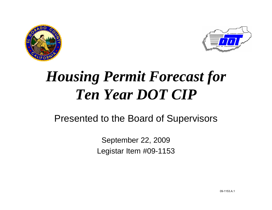



# *Housing Permit Forecast for Ten Year DOT CIP*

#### Presented to the Board of Supervisors

September 22, 2009 Legistar Item #09-1153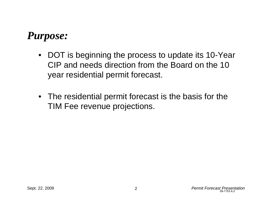## *Purpose:*

- DOT is beginning the process to update its 10-Year CIP and needs direction from the Board on the 10 year residential permit forecast.
- The residential permit forecast is the basis for the TIM Fee revenue projections.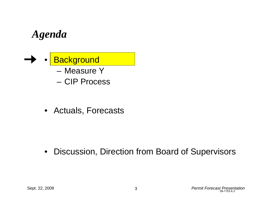## *Agenda*

**Background** – Measure Y– CIP Process

• Actuals, Forecasts

• Discussion, Direction from Board of Supervisors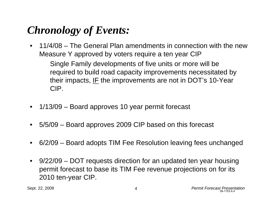## *Chronology of Events:*

• 11/4/08 – The General Plan amendments in connection with the new Measure Y approved by voters require a ten year CIP

Single Family developments of five units or more will be required to build road capacity improvements necessitated by their impacts,  $IF$  the improvements are not in DOT's 10-Year CIP.

- 1/13/09 Board approves 10 year permit forecast
- 5/5/09 Board approves 2009 CIP based on this forecast
- 6/2/09 Board adopts TIM Fee Resolution leaving fees unchanged
- 9/22/09 DOT requests direction for an updated ten year housing permit forecast to base its TIM Fee revenue projections on for its 2010 ten-year CIP.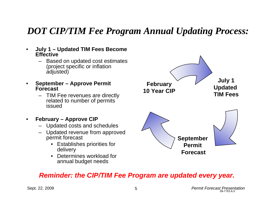#### *DOT CIP/TIM Fee Program Annual Updating Process:*

- **July 1 Updated TIM Fees Become Effective**
	- Based on updated cost estimates (project specific or inflation adjusted)
- **September Approve Permit Forecast**
	- TIM Fee revenues are directly related to number of permits issued
- **February Approve CIP**
	- Updated costs and schedules
	- Updated revenue from approved permit forecast
		- Establishes priorities for delivery
		- Determines workload for annual budget needs



#### *Reminder: the CIP/TIM Fee Program are updated every year.*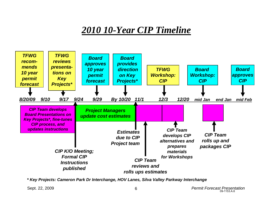#### *2010 10-Year CIP Timeline*



*\* Key Projects: Cameron Park Dr Interchange, HOV Lanes, Silva Valley Parkway Interchange*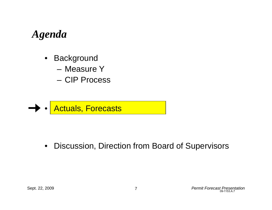## *Agenda*

- Background
	- Measure Y
	- CIP Process



• Discussion, Direction from Board of Supervisors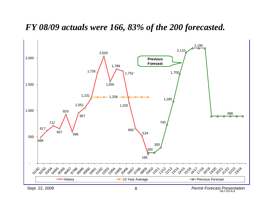#### **Permit Historic Data and Forecasts** 2,500 *FY 08/09 actuals were 166, 83% of the 200 forecasted.*

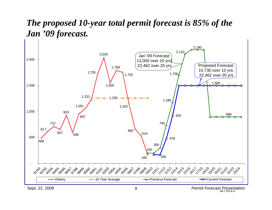#### The proposed 10-year total permit forecast is 85% of the  $\,$ 2,500 *Jan '09 forecast.*

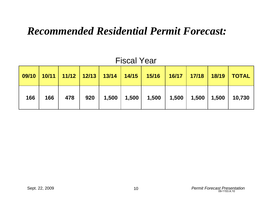### *Recommended Residential Permit Forecast:*

|     |     |     |  | 09/10   10/11   11/12   12/13   13/14   14/15   15/16   16/17   17/18   18/19   TOTAL |  |  |
|-----|-----|-----|--|---------------------------------------------------------------------------------------|--|--|
| 166 | 166 | 478 |  | 920   1,500   1,500   1,500   1,500   1,500   1,500   10,730                          |  |  |

#### Fiscal Year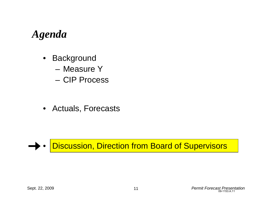## *Agenda*

- Background
	- Measure Y
	- CIP Process

• Actuals, Forecasts



• Discussion, Direction from Board of Supervisors